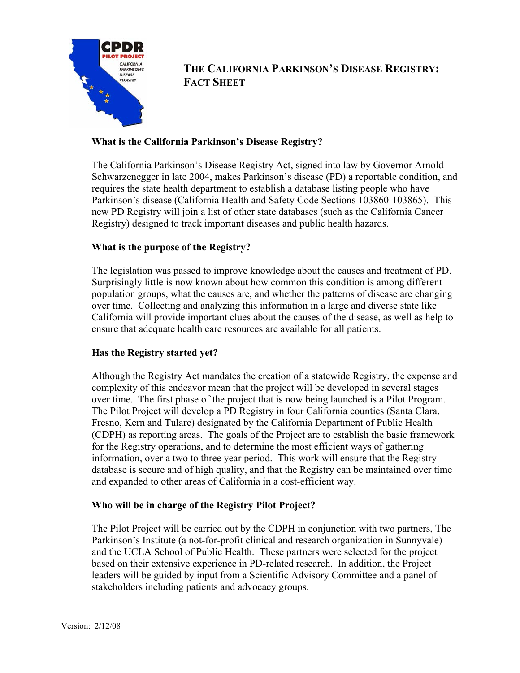

**THE CALIFORNIA PARKINSON'S DISEASE REGISTRY: FACT SHEET** 

## **What is the California Parkinson's Disease Registry?**

The California Parkinson's Disease Registry Act, signed into law by Governor Arnold Schwarzenegger in late 2004, makes Parkinson's disease (PD) a reportable condition, and requires the state health department to establish a database listing people who have Parkinson's disease (California Health and Safety Code Sections 103860-103865). This new PD Registry will join a list of other state databases (such as the California Cancer Registry) designed to track important diseases and public health hazards.

# **What is the purpose of the Registry?**

The legislation was passed to improve knowledge about the causes and treatment of PD. Surprisingly little is now known about how common this condition is among different population groups, what the causes are, and whether the patterns of disease are changing over time. Collecting and analyzing this information in a large and diverse state like California will provide important clues about the causes of the disease, as well as help to ensure that adequate health care resources are available for all patients.

## **Has the Registry started yet?**

Although the Registry Act mandates the creation of a statewide Registry, the expense and complexity of this endeavor mean that the project will be developed in several stages over time. The first phase of the project that is now being launched is a Pilot Program. The Pilot Project will develop a PD Registry in four California counties (Santa Clara, Fresno, Kern and Tulare) designated by the California Department of Public Health (CDPH) as reporting areas. The goals of the Project are to establish the basic framework for the Registry operations, and to determine the most efficient ways of gathering information, over a two to three year period. This work will ensure that the Registry database is secure and of high quality, and that the Registry can be maintained over time and expanded to other areas of California in a cost-efficient way.

## **Who will be in charge of the Registry Pilot Project?**

The Pilot Project will be carried out by the CDPH in conjunction with two partners, The Parkinson's Institute (a not-for-profit clinical and research organization in Sunnyvale) and the UCLA School of Public Health. These partners were selected for the project based on their extensive experience in PD-related research. In addition, the Project leaders will be guided by input from a Scientific Advisory Committee and a panel of stakeholders including patients and advocacy groups.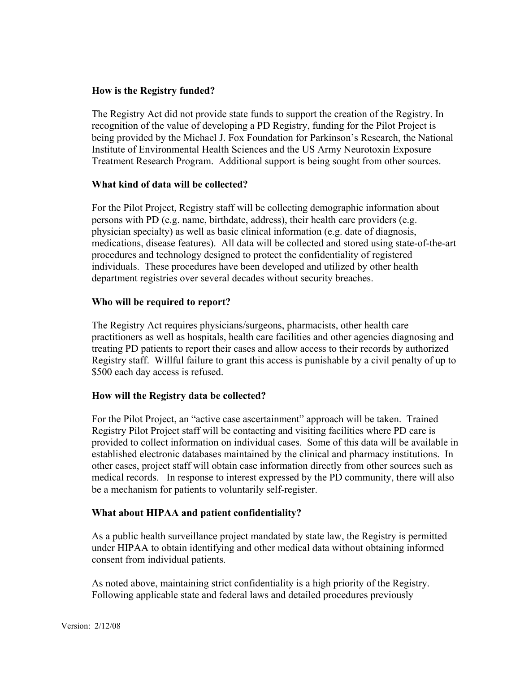## **How is the Registry funded?**

The Registry Act did not provide state funds to support the creation of the Registry. In recognition of the value of developing a PD Registry, funding for the Pilot Project is being provided by the Michael J. Fox Foundation for Parkinson's Research, the National Institute of Environmental Health Sciences and the US Army Neurotoxin Exposure Treatment Research Program. Additional support is being sought from other sources.

## **What kind of data will be collected?**

For the Pilot Project, Registry staff will be collecting demographic information about persons with PD (e.g. name, birthdate, address), their health care providers (e.g. physician specialty) as well as basic clinical information (e.g. date of diagnosis, medications, disease features). All data will be collected and stored using state-of-the-art procedures and technology designed to protect the confidentiality of registered individuals. These procedures have been developed and utilized by other health department registries over several decades without security breaches.

#### **Who will be required to report?**

The Registry Act requires physicians/surgeons, pharmacists, other health care practitioners as well as hospitals, health care facilities and other agencies diagnosing and treating PD patients to report their cases and allow access to their records by authorized Registry staff. Willful failure to grant this access is punishable by a civil penalty of up to \$500 each day access is refused.

#### **How will the Registry data be collected?**

For the Pilot Project, an "active case ascertainment" approach will be taken. Trained Registry Pilot Project staff will be contacting and visiting facilities where PD care is provided to collect information on individual cases. Some of this data will be available in established electronic databases maintained by the clinical and pharmacy institutions. In other cases, project staff will obtain case information directly from other sources such as medical records. In response to interest expressed by the PD community, there will also be a mechanism for patients to voluntarily self-register.

#### **What about HIPAA and patient confidentiality?**

As a public health surveillance project mandated by state law, the Registry is permitted under HIPAA to obtain identifying and other medical data without obtaining informed consent from individual patients.

As noted above, maintaining strict confidentiality is a high priority of the Registry. Following applicable state and federal laws and detailed procedures previously